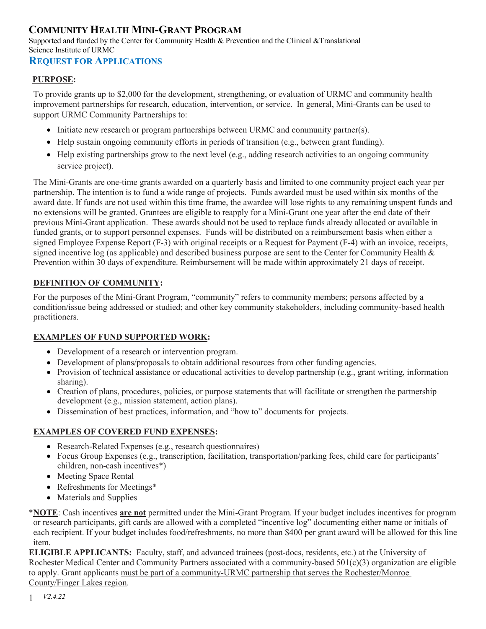# **COMMUNITY HEALTH MINI-GRANT PROGRAM**

Supported and funded by the Center for Community Health & Prevention and the Clinical &Translational Science Institute of URMC

### **REQUEST FOR APPLICATIONS**

#### **PURPOSE:**

To provide grants up to \$2,000 for the development, strengthening, or evaluation of URMC and community health improvement partnerships for research, education, intervention, or service. In general, Mini-Grants can be used to support URMC Community Partnerships to:

- Initiate new research or program partnerships between URMC and community partner(s).
- Help sustain ongoing community efforts in periods of transition (e.g., between grant funding).
- Help existing partnerships grow to the next level (e.g., adding research activities to an ongoing community service project).

The Mini-Grants are one-time grants awarded on a quarterly basis and limited to one community project each year per partnership. The intention is to fund a wide range of projects. Funds awarded must be used within six months of the award date. If funds are not used within this time frame, the awardee will lose rights to any remaining unspent funds and no extensions will be granted. Grantees are eligible to reapply for a Mini-Grant one year after the end date of their previous Mini-Grant application. These awards should not be used to replace funds already allocated or available in funded grants, or to support personnel expenses. Funds will be distributed on a reimbursement basis when either a signed Employee Expense Report (F-3) with original receipts or a Request for Payment (F-4) with an invoice, receipts, signed incentive log (as applicable) and described business purpose are sent to the Center for Community Health  $\&$ Prevention within 30 days of expenditure. Reimbursement will be made within approximately 21 days of receipt.

### **DEFINITION OF COMMUNITY:**

For the purposes of the Mini-Grant Program, "community" refers to community members; persons affected by a condition/issue being addressed or studied; and other key community stakeholders, including community-based health practitioners.

#### **EXAMPLES OF FUND SUPPORTED WORK:**

- Development of a research or intervention program.
- Development of plans/proposals to obtain additional resources from other funding agencies.
- Provision of technical assistance or educational activities to develop partnership (e.g., grant writing, information sharing).
- Creation of plans, procedures, policies, or purpose statements that will facilitate or strengthen the partnership development (e.g., mission statement, action plans).
- Dissemination of best practices, information, and "how to" documents for projects.

### **EXAMPLES OF COVERED FUND EXPENSES:**

- Research-Related Expenses (e.g., research questionnaires)
- Focus Group Expenses (e.g., transcription, facilitation, transportation/parking fees, child care for participants' children, non-cash incentives\*)
- Meeting Space Rental
- Refreshments for Meetings\*
- Materials and Supplies

\***NOTE**: Cash incentives **are not** permitted under the Mini-Grant Program. If your budget includes incentives for program or research participants, gift cards are allowed with a completed "incentive log" documenting either name or initials of each recipient. If your budget includes food/refreshments, no more than \$400 per grant award will be allowed for this line item.

**ELIGIBLE APPLICANTS:** Faculty, staff, and advanced trainees (post-docs, residents, etc.) at the University of Rochester Medical Center and Community Partners associated with a community-based  $501(c)(3)$  organization are eligible to apply. Grant applicants must be part of a community-URMC partnership that serves the Rochester/Monroe County/Finger Lakes region.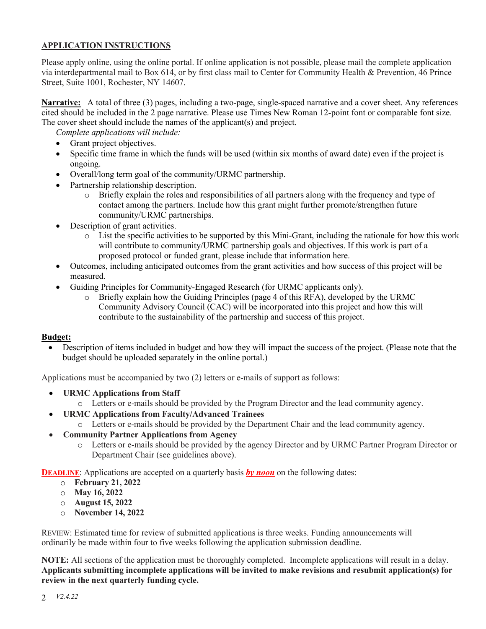#### **APPLICATION INSTRUCTIONS**

Please apply online, using the online portal. If online application is not possible, please mail the complete application via interdepartmental mail to Box 614, or by first class mail to Center for Community Health & Prevention, 46 Prince Street, Suite 1001, Rochester, NY 14607.

**Narrative:** A total of three (3) pages, including a two-page, single-spaced narrative and a cover sheet. Any references cited should be included in the 2 page narrative. Please use Times New Roman 12-point font or comparable font size. The cover sheet should include the names of the applicant(s) and project.

*Complete applications will include:* 

- Grant project objectives.
- Specific time frame in which the funds will be used (within six months of award date) even if the project is ongoing.
- Overall/long term goal of the community/URMC partnership.
- Partnership relationship description.
	- o Briefly explain the roles and responsibilities of all partners along with the frequency and type of contact among the partners. Include how this grant might further promote/strengthen future community/URMC partnerships.
- Description of grant activities.
	- o List the specific activities to be supported by this Mini-Grant, including the rationale for how this work will contribute to community/URMC partnership goals and objectives. If this work is part of a proposed protocol or funded grant, please include that information here.
- Outcomes, including anticipated outcomes from the grant activities and how success of this project will be measured.
- Guiding Principles for Community-Engaged Research (for URMC applicants only).
	- o Briefly explain how the Guiding Principles (page 4 of this RFA), developed by the URMC Community Advisory Council (CAC) will be incorporated into this project and how this will contribute to the sustainability of the partnership and success of this project.

#### **Budget:**

• Description of items included in budget and how they will impact the success of the project. (Please note that the budget should be uploaded separately in the online portal.)

Applications must be accompanied by two (2) letters or e-mails of support as follows:

- **URMC Applications from Staff** 
	- o Letters or e-mails should be provided by the Program Director and the lead community agency.
- **URMC Applications from Faculty/Advanced Trainees**
	- o Letters or e-mails should be provided by the Department Chair and the lead community agency.
- **Community Partner Applications from Agency** 
	- o Letters or e-mails should be provided by the agency Director and by URMC Partner Program Director or Department Chair (see guidelines above).

**DEADLINE:** Applications are accepted on a quarterly basis **by noon** on the following dates:

- o **February 21, 2022**
- o **May 16, 2022**
- o **August 15, 2022**
- o **November 14, 2022**

REVIEW: Estimated time for review of submitted applications is three weeks. Funding announcements will ordinarily be made within four to five weeks following the application submission deadline.

**NOTE:** All sections of the application must be thoroughly completed. Incomplete applications will result in a delay. **Applicants submitting incomplete applications will be invited to make revisions and resubmit application(s) for review in the next quarterly funding cycle.**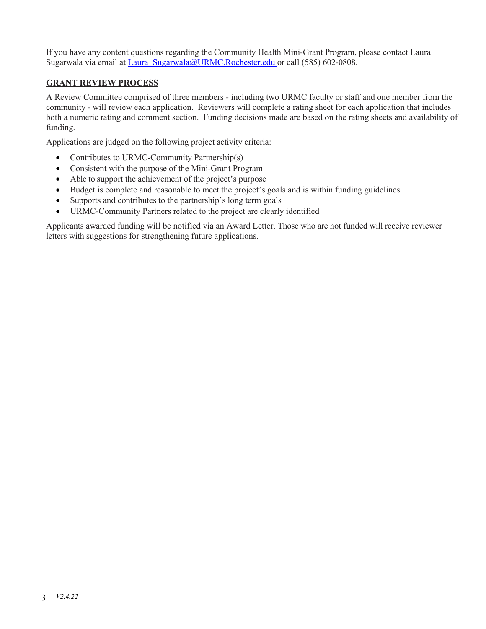If you have any content questions regarding the Community Health Mini-Grant Program, please contact Laura Sugarwala via email at Laura Sugarwala@URMC.Rochester.edu or call (585) 602-0808.

#### **GRANT REVIEW PROCESS**

A Review Committee comprised of three members - including two URMC faculty or staff and one member from the community - will review each application. Reviewers will complete a rating sheet for each application that includes both a numeric rating and comment section. Funding decisions made are based on the rating sheets and availability of funding.

Applications are judged on the following project activity criteria:

- Contributes to URMC-Community Partnership(s)
- Consistent with the purpose of the Mini-Grant Program
- Able to support the achievement of the project's purpose
- Budget is complete and reasonable to meet the project's goals and is within funding guidelines
- Supports and contributes to the partnership's long term goals
- URMC-Community Partners related to the project are clearly identified

Applicants awarded funding will be notified via an Award Letter. Those who are not funded will receive reviewer letters with suggestions for strengthening future applications.